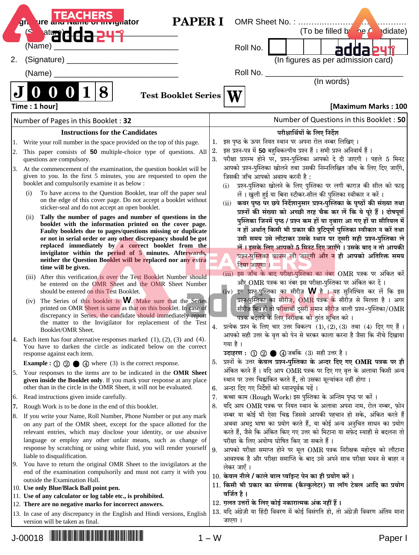|     | <b>PAPER I</b><br><b>Ure and Name of Inviguator</b><br>ЛŊ.                                                                                    |          | OMR Sheet No.:                                                                                                                               |
|-----|-----------------------------------------------------------------------------------------------------------------------------------------------|----------|----------------------------------------------------------------------------------------------------------------------------------------------|
|     | <sup>at</sup> add:<br>ى                                                                                                                       |          | (To be filled by<br>he O<br>didate)                                                                                                          |
| 2.  | (Name)<br>(Signature)                                                                                                                         |          | Roll No.<br>(In figures as per admission card)                                                                                               |
|     | (Name)                                                                                                                                        |          | Roll No. __________                                                                                                                          |
|     |                                                                                                                                               |          | (In words)                                                                                                                                   |
|     | 8<br>O<br><b>Test Booklet Series</b>                                                                                                          |          |                                                                                                                                              |
|     | Time: 1 hour]                                                                                                                                 |          | [Maximum Marks: 100                                                                                                                          |
|     | Number of Pages in this Booklet: 32                                                                                                           |          | Number of Questions in this Booklet: 50                                                                                                      |
|     | <b>Instructions for the Candidates</b>                                                                                                        |          | परीक्षार्थियों के लिए निर्देश                                                                                                                |
| 1.  | Write your roll number in the space provided on the top of this page.                                                                         | 1.       | इस पृष्ठ के ऊपर नियत स्थान पर अपना रोल नम्बर लिखिए।<br>इस प्रश्न-पत्र में 50 बहुविकल्पीय प्रश्न हैं । सभी प्रश्न अनिवार्य हैं ।              |
| 2.  | This paper consists of 50 multiple-choice type of questions. All<br>questions are compulsory.                                                 | 2.<br>3. | परीक्षा प्रारम्भ होने पर, प्रश्न-पुस्तिका आपको दे दी जाएगी । पहले 5 मिनट                                                                     |
| 3.  | At the commencement of the examination, the question booklet will be<br>given to you. In the first 5 minutes, you are requested to open the   |          | आपको प्रश्न-पुस्तिका खोलने तथा उसकी निम्नलिखित जाँच के लिए दिए जाएँगे,<br>जिसकी जाँच आपको अवश्य करनी है:                                     |
|     | booklet and compulsorily examine it as below :<br>To have access to the Question Booklet, tear off the paper seal<br>(i)                      |          | प्रश्न-पुस्तिका खोलने के लिए पुस्तिका पर लगी काग़ज़ की सील को फाड़<br>(i)                                                                    |
|     | on the edge of this cover page. Do not accept a booklet without<br>sticker-seal and do not accept an open booklet.                            |          | लें। खुली हुई या बिना स्टीकर-सील की पुस्तिका स्वीकार न करें।<br>(ii) कवर पृष्ठ पर छपे निर्देशानुसार प्रश्न-पुस्तिका के पृष्ठों की संख्या तथा |
|     | Tally the number of pages and number of questions in the<br>(ii)                                                                              |          | प्रश्नों की संख्या को अच्छी तरह चैक कर लें कि ये पूरे हैं । दोषपूर्ण                                                                         |
|     | booklet with the information printed on the cover page.                                                                                       |          | पुस्तिका जिनमें पृष्ठ / प्रश्न कम हों या दुबारा आ गए हों या सीरियल में                                                                       |
|     | Faulty booklets due to pages/questions missing or duplicate                                                                                   |          | न हों अर्थात् किसी भी प्रकार की त्रुटिपूर्ण पुस्तिका स्वीकार न करें तथा                                                                      |
|     | or not in serial order or any other discrepancy should be got<br>replaced immediately by a correct booklet from the                           |          | उसी समय उसे लौटाकर उसके स्थान पर दूसरी सही प्रश्न-पुस्तिका ले<br>लें। इसके लिए आपको 5 मिनट दिए जाएँगे। उसके बाद न तो आपकी                    |
|     | invigilator within the period of 5 minutes. Afterwards,                                                                                       |          | प्रश्न-पुस्तिका वापस ली जाएगी और न ही आपको अतिरिक्त समय                                                                                      |
|     | neither the Question Booklet will be replaced nor any extra                                                                                   |          | दिया जाएगा । $\blacksquare$                                                                                                                  |
|     | time will be given.                                                                                                                           |          | (iii) इस जाँच के बाद परीक्षा-पुस्तिका का नंबर OMR पत्रक पर अंकित करें                                                                        |
|     | (iii) After this verification is over the Test Booklet Number should<br>be entered on the OMR Sheet and the OMR Sheet Number                  |          | और OMR पत्रक का नंबर इस परीक्षा-पुस्तिका पर अंकित कर दें।                                                                                    |
|     | should be entered on this Test Booklet.                                                                                                       |          | (iv) इस प्रश्न-पुस्तिका का सीरीज़ W है । यह सुनिश्चित कर लें कि इस                                                                           |
|     | (iv) The Series of this booklet is <b>W</b> . Make sure that the Series                                                                       |          | प्रश्न-पुस्तिका का सीरीज़, OMR पत्रक के सीरीज़ से मिलता है। अगर                                                                              |
|     | printed on OMR Sheet is same as that on this booklet. In case of                                                                              |          | सीरीज़ भिन्न हो तो प <mark>रीक्षार्थी दूसरी स</mark> मान सीरीज़ वाली प्रश्न-पुस्तिका/OMR                                                     |
|     | discrepancy in Series, the candidate should immediately report                                                                                |          | पत्रक बदलने के लिए निरीक्षक को तुरंत सूचित करे।                                                                                              |
|     | the matter to the Invigilator for replacement of the Test<br>Booklet/OMR Sheet.                                                               |          | 4. प्रत्येक प्रश्न के लिए चार उत्तर विकल्प $(1), (2), (3)$ तथा $(4)$ दिए गए हैं।                                                             |
| Ι4. | Each item has four alternative responses marked $(1)$ , $(2)$ , $(3)$ and $(4)$ .                                                             |          | आपको सही उत्तर के वृत्त को पेन से भरकर काला करना है जैसा कि नीचे दिखाया                                                                      |
|     | You have to darken the circle as indicated below on the correct                                                                               |          | गया है।                                                                                                                                      |
|     | response against each item.                                                                                                                   |          | उदाहरण: 1 2 ● 4 जबकि (3) सही उत्तर है।                                                                                                       |
|     | <b>Example :</b> $\textcircled{1}$ $\textcircled{2}$ $\textcircled{4}$ where (3) is the correct response.                                     |          | 5. प्रश्नों के उत्तर केवल प्रश्न-पुस्तिका के अन्दर दिए गए OMR पत्रक पर ही                                                                    |
| 5.  | Your responses to the items are to be indicated in the OMR Sheet                                                                              |          | अंकित करने हैं। यदि आप OMR पत्रक पर दिए गए वृत्त के अलावा किसी अन्य                                                                          |
|     | given inside the Booklet only. If you mark your response at any place<br>other than in the circle in the OMR Sheet, it will not be evaluated. | 6.       | स्थान पर उत्तर चिह्नांकित करते हैं, तो उसका मूल्यांकन नहीं होगा।<br>अन्दर दिए गए निर्देशों को ध्यानपूर्वक पढ़ें।                             |
| 6.  | Read instructions given inside carefully.                                                                                                     | 7.       | कच्चा काम (Rough Work) इस पुस्तिका के अन्तिम पृष्ठ पर करें।                                                                                  |
| 17. | Rough Work is to be done in the end of this booklet.                                                                                          | 8.       | यदि आप OMR पत्रक पर नियत स्थान के अलावा अपना नाम, रोल नम्बर, फ़ोन                                                                            |
| 8.  | If you write your Name, Roll Number, Phone Number or put any mark                                                                             |          | नम्बर या कोई भी ऐसा चिह्न जिससे आपकी पहचान हो सके, अंकित करते हैं                                                                            |
|     | on any part of the OMR sheet, except for the space allotted for the                                                                           |          | अथवा अभद्र भाषा का प्रयोग करते हैं, या कोई अन्य अनुचित साधन का प्रयोग                                                                        |
|     | relevant entries, which may disclose your identity, or use abusive                                                                            |          | करते हैं, जैसे कि अंकित किए गए उत्तर को मिटाना या सफ़ेद स्याही से बदलना तो                                                                   |
|     | language or employ any other unfair means, such as change of                                                                                  |          | परीक्षा के लिए अयोग्य घोषित किए जा सकते हैं।                                                                                                 |
|     | response by scratching or using white fluid, you will render yourself                                                                         | 9.       | आपको परीक्षा समाप्त होने पर मूल OMR पत्रक निरीक्षक महोदय को लौटाना                                                                           |
| 19. | liable to disqualification.<br>You have to return the original OMR Sheet to the invigilators at the                                           |          | आवश्यक है और परीक्षा समाप्ति के बाद उसे अपने साथ परीक्षा भवन से बाहर न                                                                       |
|     | end of the examination compulsorily and must not carry it with you                                                                            |          | लेकर जाएँ ।                                                                                                                                  |
|     | outside the Examination Hall.                                                                                                                 |          | 10. केवल नीले / काले बाल प्वॉइन्ट पेन का ही प्रयोग करें ।                                                                                    |
|     | 10. Use only Blue/Black Ball point pen.                                                                                                       |          | 11. किसी भी प्रकार का संगणक (कैल्कुलेटर) या लॉग टेबल आदि का प्रयोग<br>वर्जित है ।                                                            |
|     | 11. Use of any calculator or log table etc., is prohibited.                                                                                   |          | 12. ग़लत उत्तरों के लिए कोई नकारात्मक अंक नहीं हैं।                                                                                          |
|     | 12. There are no negative marks for incorrect answers.                                                                                        |          | 13. यदि अंग्रेज़ी या हिंदी विवरण में कोई विसंगति हो, तो अंग्रेज़ी विवरण अंतिम माना                                                           |
|     | 13. In case of any discrepancy in the English and Hindi versions, English<br>version will be taken as final.                                  |          | जाएगा ।                                                                                                                                      |

J-00018 \*J-00018 PAPER I\* <sup>1</sup> <sup>−</sup> <sup>W</sup> Paper I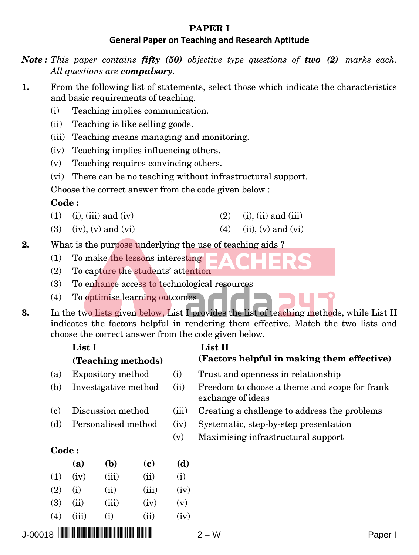## **PAPER I**

## **General Paper on Teaching and Research Aptitude**

*Note : This paper contains fifty (50) objective type questions of two (2) marks each. All questions are compulsory.*

- **1.** From the following list of statements, select those which indicate the characteristics and basic requirements of teaching.
	- (i) Teaching implies communication.
	- (ii) Teaching is like selling goods.
	- (iii) Teaching means managing and monitoring.
	- (iv) Teaching implies influencing others.
	- (v) Teaching requires convincing others.
	- (vi) There can be no teaching without infrastructural support.

Choose the correct answer from the code given below :

## **Code :**

- (1) (i), (iii) and (iv) (2) (i), (ii) and (iii)
- (3) (iv), (v) and (vi) (4) (ii), (v) and (vi)
- **2.** What is the purpose underlying the use of teaching aids ?
	- (1) To make the lessons interesting
	- (2) To capture the students' attention
	- (3) To enhance access to technological resources
	- (4) To optimise learning outcomes
- **3.** In the two lists given below, List I provides the list of teaching methods, while List II indicates the factors helpful in rendering them effective. Match the two lists and choose the correct answer from the code given below.

|                             | List I               | (Teaching methods) |       |                                    | List II<br>(Factors helpful in making them effective)              |
|-----------------------------|----------------------|--------------------|-------|------------------------------------|--------------------------------------------------------------------|
| (a)                         |                      | Expository method  |       | (i)                                | Trust and openness in relationship                                 |
| (b)                         | Investigative method |                    |       | (ii)                               | Freedom to choose a theme and scope for frank<br>exchange of ideas |
| $\left( \mathbf{c} \right)$ | Discussion method    |                    |       | (iii)                              | Creating a challenge to address the problems                       |
| (d)                         | Personalised method  |                    |       | (iv)                               | Systematic, step-by-step presentation                              |
|                             |                      |                    | (v)   | Maximising infrastructural support |                                                                    |
| <b>Code:</b>                |                      |                    |       |                                    |                                                                    |
|                             | (a)                  | (b)                | (c)   | (d)                                |                                                                    |
| (1)                         | (iv)                 | (iii)              | (ii)  | (i)                                |                                                                    |
| (2)                         | (i)                  | (ii)               | (iii) | (iv)                               |                                                                    |
| (3)                         | (ii)                 | (iii)              | (iv)  | (v)                                |                                                                    |
|                             |                      |                    |       |                                    |                                                                    |

#### **Code :**

|            | (a)   | ( <b>b</b> ) | (c)   | (d)  |
|------------|-------|--------------|-------|------|
| (1)        | (iv)  | (iii)        | (ii)  | (i)  |
| (2)        | (i)   | (ii)         | (iii) | (iv) |
| <b>(3)</b> | (ii)  | (iii)        | (iv)  | (v)  |
| (4)        | (iii) | (i)          | (ii)  | (iv) |
|            |       |              |       |      |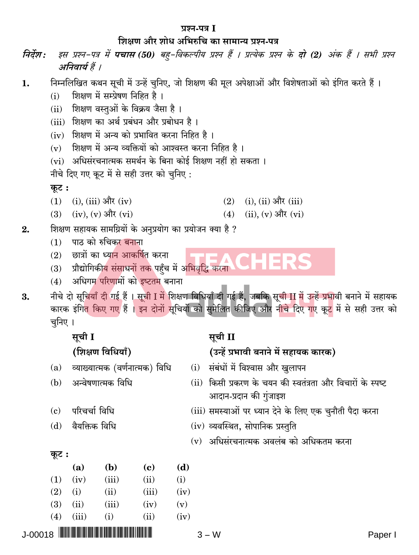#### प्रश्न-पत्र I

## शिक्षण और शोध अभिरुचि का सामान्य प्रश्न-पत्र

- इस प्रश्न-पत्र में **पचास (50)** बह-विकल्पीय प्रश्न हैं । प्रत्येक प्रश्न के **दो (2)** अंक हैं । सभी प्रश्न निर्देश : अनिवार्य हैं ।
- निम्नलिखित कथन सूची में उन्हें चुनिए, जो शिक्षण की मूल अपेक्षाओं और विशेषताओं को इंगित करते हैं । 1.
	- शिक्षण में सम्प्रेषण निहित है।  $(i)$
	- (ii) शिक्षण वस्तुओं के विक्रय जैसा है।
	- (iii) शिक्षण का अर्थ प्रबंधन और प्रबोधन है ।
	- (iv) शिक्षण में अन्य को प्रभावित करना निहित है।
	- (v) शिक्षण में अन्य व्यक्तियों को आश्वस्त करना निहित है।
	- (vi) अधिसंरचनात्मक समर्थन के बिना कोई शिक्षण नहीं हो सकता।

नीचे दिए गए कूट में से सही उत्तर को चुनिए:

## कूट:

- $(1)$  (i), (iii) और (iv)  $(2)$  $(i)$ ,  $(ii)$  और  $(iii)$
- $(3)$   $(iv)$ ,  $(v)$  और  $(vi)$  $(ii)$ ,  $(v)$  और  $(vi)$  $(4)$
- शिक्षण सहायक सामग्रियों के अनुप्रयोग का प्रयोजन क्या है ?  $\overline{2}$ .
	- (1) पाठ को रुचिकर बनाना
	- $(2)$  छात्रों का ध्यान आकर्षित करना
	- (3) प्रौद्योगिकीय संसाधनों तक पहुँच में अभिवृद्धि करना
	- अधिगम परिणामों को इष्टतम बनाना  $(4)$

नीचे दो सूचियाँ दी गई हैं । सूची I में शिक्षण विधियाँ दी गई हैं, जबकि सूची II में उन्हें प्रभावी बनाने में सहायक 3. कारक इंगित किए गए हैं । इन दोनों सूचियों को सुमेलित कीजिए और नीचे दिए गए कू<mark>ट</mark> में से सही उत्तर को चनिए।

# सूची I

## (शिक्षण विधियाँ)

व्याख्यात्मक (वर्णनात्मक) विधि  $(a)$ 

#### अन्वेषणात्मक विधि  $(h)$

- परिचर्चा विधि  $(c)$
- $(d)$  वैयक्तिक विधि

## सूची II

## (उन्हें प्रभावी बनाने में सहायक कारक)

- (i) संबंधों में विश्वास और खुलापन
- (ii) किसी प्रकरण के चयन की स्वतंत्रता और विचारों के स्पष्ट आदान-प्रदान की गुंजाइश
- (iii) समस्याओं पर ध्यान देने के लिए एक चुनौती पैदा करना
- (iv) व्यवस्थित, सोपानिक प्रस्तुति
- (v) अधिसंरचनात्मक अवलंब को अधिकतम करना

कूट :

|                                  | (a)   | (b)   | (c)   | (d)  |
|----------------------------------|-------|-------|-------|------|
| (1)                              | (iv)  | (iii) | (ii)  | (i)  |
| (2)                              | (i)   | (ii)  | (iii) | (iv) |
| (3)                              | (ii)  | (iii) | (iv)  | (v)  |
| (4)                              | (iii) | (i)   | (ii)  | (iv) |
| <b>J-00018  IIIIIIIIIIIIIIII</b> |       |       |       |      |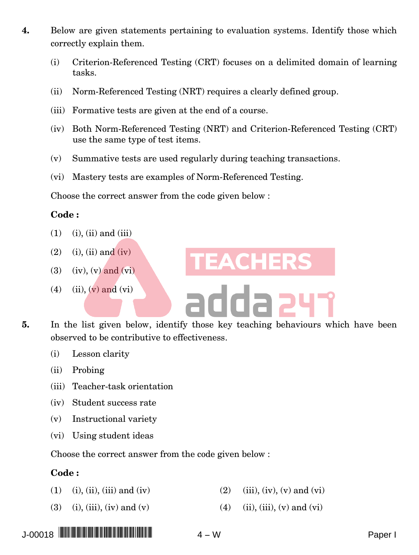- **4.** Below are given statements pertaining to evaluation systems. Identify those which correctly explain them.
	- (i) Criterion-Referenced Testing (CRT) focuses on a delimited domain of learning tasks.
	- (ii) Norm-Referenced Testing (NRT) requires a clearly defined group.
	- (iii) Formative tests are given at the end of a course.
	- (iv) Both Norm-Referenced Testing (NRT) and Criterion-Referenced Testing (CRT) use the same type of test items.
	- (v) Summative tests are used regularly during teaching transactions.
	- (vi) Mastery tests are examples of Norm-Referenced Testing.

Choose the correct answer from the code given below :

#### **Code :**

- $(1)$   $(i)$ ,  $(ii)$  and  $(iii)$
- $(2)$  (i), (ii) and (iv)
- $(3)$   $(iv)$ ,  $(v)$  and  $(vi)$
- (4) (ii),  $(v)$  and  $(vi)$
- **5.** In the list given below, identify those key teaching behaviours which have been observed to be contributive to effectiveness.
	- (i) Lesson clarity
	- (ii) Probing
	- (iii) Teacher-task orientation
	- (iv) Student success rate
	- (v) Instructional variety
	- (vi) Using student ideas

Choose the correct answer from the code given below :

#### **Code :**

- (1) (i), (ii), (iii) and (iv) (2) (iii), (iv), (v) and (vi)
- (3) (i), (iii), (iv) and (v) (4) (ii), (iii), (v) and (vi)



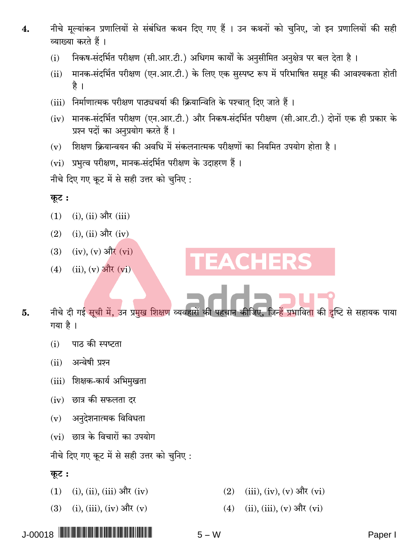- नीचे मुल्यांकन प्रणालियों से संबंधित कथन दिए गए हैं । उन कथनों को चुनिए. जो इन प्रणालियों की सही  $\overline{4}$ . व्याख्या करते हैं ।
	- निकष-संदर्भित परीक्षण (सी.आर.टी.) अधिगम कार्यों के अनुसीमित अनुक्षेत्र पर बल देता है।  $(i)$
	- मानक-संदर्भित परीक्षण (एन.आर.टी.) के लिए एक सुस्पष्ट रूप में परिभाषित समूह की आवश्यकता होती  $(ii)$ है ।
	- (iii) निर्माणात्मक परीक्षण पाठ्यचर्या की क्रियान्विति के पश्चात दिए जाते हैं।
	- (iv) मानक-संदर्भित परीक्षण (एन.आर.टी.) और निकष-संदर्भित परीक्षण (सी.आर.टी.) दोनों एक ही प्रकार के प्रश्न पदों का अनुप्रयोग करते हैं।
	- शिक्षण क्रियान्वयन की अवधि में संकलनात्मक परीक्षणों का नियमित उपयोग होता है।  $(v)$
	- (vi) प्रभुत्व परीक्षण, मानक-संदर्भित परीक्षण के उदाहरण हैं।
	- नीचे दिए गए कूट में से सही उत्तर को चुनिए:

## कुट:

- $(1)$  $(i)$ ,  $(ii)$  और  $(iii)$
- $(2)$  $(i)$ ,  $(ii)$  और  $(iv)$
- (iv),  $(v)$  और  $(vi)$  $(3)$
- $(ii)$ ,  $(v)$  और  $(vi)$  $(4)$
- नीचे दी गई सूची में, उन प्रमुख शिक्षण व्यवहारों की पहचान कीजिए, जिन्हें प्रभाविता की दृष्टि से सहायक पाया 5. गया है।
	- पाठ की स्पष्टता  $(i)$
	- अन्वेषी प्रश्न  $(ii)$
	- (iii) शिक्षक-कार्य अभिमुखता
	- $(iv)$  छात्र की सफलता दर
	- अनुदेशनात्मक विविधता  $(v)$
	- (vi) छात्र के विचारों का उपयोग
	- नीचे दिए गए कूट में से सही उत्तर को चुनिए:

## कूट :

- $(i)$ ,  $(ii)$ ,  $(iii)$  और  $(iv)$  $(1)$
- $(i)$ ,  $(iii)$ ,  $(iv)$  और  $(v)$  $(3)$
- (iii), (iv), (v) और (vi)  $(2)$

CHERS

 $(ii), (iii), (v)$  और  $(vi)$  $(4)$ 

 $5 - W$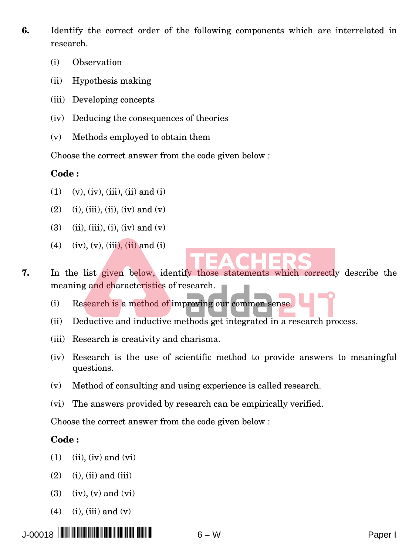- **6.** Identify the correct order of the following components which are interrelated in research.
	- (i) Observation
	- (ii) Hypothesis making
	- (iii) Developing concepts
	- (iv) Deducing the consequences of theories
	- (v) Methods employed to obtain them

Choose the correct answer from the code given below :

#### **Code :**

- $(1)$   $(v)$ ,  $(iv)$ ,  $(iii)$ ,  $(ii)$  and  $(i)$
- (2) (i), (iii), (ii), (iv) and (v)
- (3) (ii), (iii), (i), (iv) and (v)
- (4) (iv), (v), (iii), (ii) and (i)

**7.** In the list given below, identify those statements which correctly describe the meaning and characteristics of research.

(i) Research is a method of improving our common sense.

- (ii) Deductive and inductive methods get integrated in a research process.
- (iii) Research is creativity and charisma.
- (iv) Research is the use of scientific method to provide answers to meaningful questions.
- (v) Method of consulting and using experience is called research.
- (vi) The answers provided by research can be empirically verified.

Choose the correct answer from the code given below :

## **Code :**

- $(1)$   $(ii)$ ,  $(iv)$  and  $(vi)$
- $(2)$   $(i)$ ,  $(ii)$  and  $(iii)$
- $(3)$   $(iv)$ ,  $(v)$  and  $(vi)$
- $(4)$  (i), (iii) and (v)

J-00018 \*J-00018 PAPER I\* <sup>6</sup> <sup>−</sup> <sup>W</sup> Paper I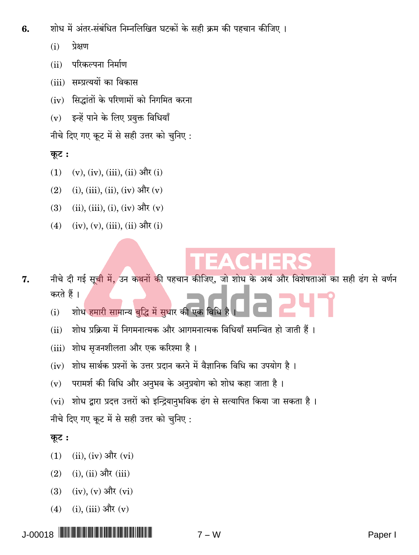- शोध में अंतर-संबंधित निम्नलिखित घटकों के सही क्रम की पहचान कीजिए । 6.
	- प्रेक्षण  $(i)$
	- परिकल्पना निर्माण  $(ii)$
	- (iii) सम्प्रत्ययों का विकास
	- सिद्धांतों के परिणामों को निगमित करना  $(iv)$
	- इन्हें पाने के लिए प्रयुक्त विधियाँ  $(v)$

नीचे दिए गए कूट में से सही उत्तर को चुनिए:

## कूट :

- $(v)$ ,  $(iv)$ ,  $(iii)$ ,  $(ii)$  और  $(i)$  $(1)$
- (i), (iii), (ii), (iv) और (v)  $(2)$
- (ii), (iii), (i), (iv) और (v)  $(3)$
- $(iv), (v), (iii), (ii)$  और  $(i)$  $(4)$

- नीचे दी गई सूची में, उन कथनों की पहचान कीजिए, जो शोध के अर्थ और विशेषताओं का सही ढंग से वर्णन 7. करते हैं।
	- शोध हमारी सामान्य बुद्धि में सुधार की एक विधि  $(i)$
	- शोध प्रक्रिया में निगमनात्मक और आगमनात्मक विधियाँ समन्वित हो जाती हैं।  $(ii)$
	- (iii) शोध सृजनशीलता और एक करिश्मा है।
	- शोध सार्थक प्रश्नों के उत्तर प्रदान करने में वैज्ञानिक विधि का उपयोग है।  $(iv)$
	- परामर्श की विधि और अनुभव के अनुप्रयोग को शोध कहा जाता है।  $(v)$
	- शोध द्वारा प्रदत्त उत्तरों को इन्द्रियानुभविक ढंग से सत्यापित किया जा सकता है।  $(vi)$

नीचे दिए गए कूट में से सही उत्तर को चुनिए:

## कूट:

- $(ii)$ ,  $(iv)$  और  $(vi)$  $(1)$
- $(i)$ ,  $(ii)$  और  $(iii)$  $(2)$
- $(iv)$ ,  $(v)$  और  $(vi)$  $(3)$
- (i), (iii) और  $(v)$  $(4)$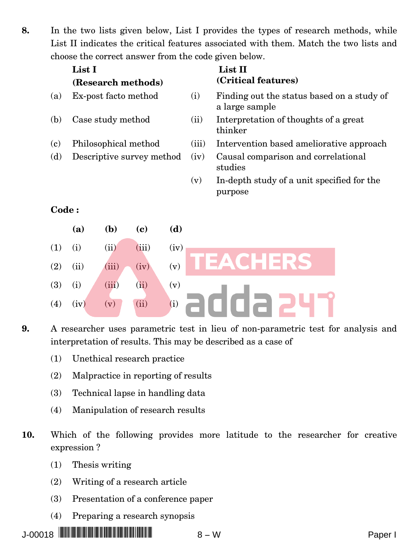**8.** In the two lists given below, List I provides the types of research methods, while List II indicates the critical features associated with them. Match the two lists and choose the correct answer from the code given below.

| List I<br>List II<br>(Critical features)<br>(Research methods)<br>(i)<br>(a)<br>Ex-post facto method<br>Finding out the status based on a study of<br>a large sample<br>(b)<br>Case study method<br>(ii)<br>Interpretation of thoughts of a great<br>thinker<br>(iii)<br>$\left( \mathbf{c}\right)$<br>Philosophical method<br>Intervention based ameliorative approach<br>(d)<br>(iv)<br>Causal comparison and correlational<br>Descriptive survey method<br>studies<br>In-depth study of a unit specified for the<br>(v)<br>purpose<br><b>Code:</b> |  |
|-------------------------------------------------------------------------------------------------------------------------------------------------------------------------------------------------------------------------------------------------------------------------------------------------------------------------------------------------------------------------------------------------------------------------------------------------------------------------------------------------------------------------------------------------------|--|
|                                                                                                                                                                                                                                                                                                                                                                                                                                                                                                                                                       |  |
|                                                                                                                                                                                                                                                                                                                                                                                                                                                                                                                                                       |  |
|                                                                                                                                                                                                                                                                                                                                                                                                                                                                                                                                                       |  |
|                                                                                                                                                                                                                                                                                                                                                                                                                                                                                                                                                       |  |
|                                                                                                                                                                                                                                                                                                                                                                                                                                                                                                                                                       |  |
|                                                                                                                                                                                                                                                                                                                                                                                                                                                                                                                                                       |  |
|                                                                                                                                                                                                                                                                                                                                                                                                                                                                                                                                                       |  |
| (a)<br>( <b>b</b> )<br>(d)<br>(c)                                                                                                                                                                                                                                                                                                                                                                                                                                                                                                                     |  |
| (iii)<br>(ii)<br>(iv)<br>(1)<br>(i)                                                                                                                                                                                                                                                                                                                                                                                                                                                                                                                   |  |

EACHERS

adda 241

- **9.** A researcher uses parametric test in lieu of non-parametric test for analysis and interpretation of results. This may be described as a case of
	- (1) Unethical research practice

(2) (ii) (iii) (iv) (v)

 $(3)$  (i) (iii) (ii) (v)

(4) (iv) (v) (ii) (i)

- (2) Malpractice in reporting of results
- (3) Technical lapse in handling data
- (4) Manipulation of research results
- **10.** Which of the following provides more latitude to the researcher for creative expression ?
	- (1) Thesis writing
	- (2) Writing of a research article
	- (3) Presentation of a conference paper
	- (4) Preparing a research synopsis

J-00018 \*J-00018 PAPER I\* <sup>8</sup> <sup>−</sup> <sup>W</sup> Paper I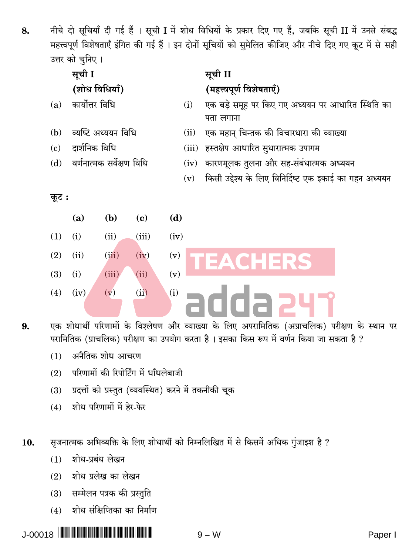नीचे दो सूचियाँ दी गई हैं । सूची I में शोध विधियों के प्रकार दिए गए हैं, जबकि सूची II में उनसे संबद्ध 8. महत्त्वपूर्ण विशेषताएँ इंगित की गई हैं । इन दोनों सुचियों को सुमेलित कीजिए और नीचे दिए गए कुट में से सही उत्तर को चनिए ।

|       | सूची I                    |       |       |      |       | सूची II                                                        |
|-------|---------------------------|-------|-------|------|-------|----------------------------------------------------------------|
|       | (शोध विधियाँ)             |       |       |      |       | (महत्त्वपूर्ण विशेषताएँ)                                       |
| (a)   | कार्योत्तर विधि           |       |       |      | (i)   | एक बड़े समूह पर किए गए अध्ययन पर आधारित स्थिति का<br>पता लगाना |
| (b)   | व्यष्टि अध्ययन विधि       |       |       |      | (ii)  | एक महान् चिन्तक की विचारधारा की व्याख्या                       |
| (c)   | दार्शनिक विधि             |       |       |      | (iii) | हस्तक्षेप आधारित सुधारात्मक उपागम                              |
| (d)   | वर्णनात्मक सर्वेक्षण विधि |       |       |      | (iv)  | कारणमूलक तुलना और सह-संबंधात्मक अध्ययन                         |
|       |                           |       |       |      | (v)   | किसी उद्देश्य के लिए विनिर्दिष्ट एक इकाई का गहन अध्ययन         |
| कूट : |                           |       |       |      |       |                                                                |
|       | (a)                       | (b)   | (c)   | (d)  |       |                                                                |
| (1)   | (i)                       | (ii)  | (iii) | (iv) |       |                                                                |
| (2)   | (ii)                      | (iii) | (iv)  | (v)  |       | CHERS<br>ΕΔ                                                    |
| (3)   | (i)                       | (iii) | (ii)  | (v)  |       |                                                                |
| (4)   | (iv)                      | (v)   | (ii)  | (i)  |       |                                                                |

एक शोधार्थी परिणामों के विश्लेषण और व्याख्या के लिए अपरामितिक (अप्राचलिक) परीक्षण के स्थान पर 9. परामितिक (प्राचलिक) परीक्षण का उपयोग करता है। इसका किस रूप में वर्णन किया जा सकता है ?

- अनैतिक शोध आचरण  $(1)$
- परिणामों की रिपोर्टिंग में धाँधलेबाजी  $(2)$
- प्रदत्तों को प्रस्तुत (व्यवस्थित) करने में तकनीकी चूक  $(3)$
- शोध परिणामों में हेर-फेर  $(4)$

सृजनात्मक अभिव्यक्ति के लिए शोधार्थी को निम्नलिखित में से किसमें अधिक गुंजाइश है ? 10.

- शोध-प्रबंध लेखन  $(1)$
- शोध प्रलेख का लेखन  $(2)$
- सम्मेलन पत्रक की प्रस्तुति  $(3)$
- $(4)$  शोध संक्षिप्तिका का निर्माण

 $9 - W$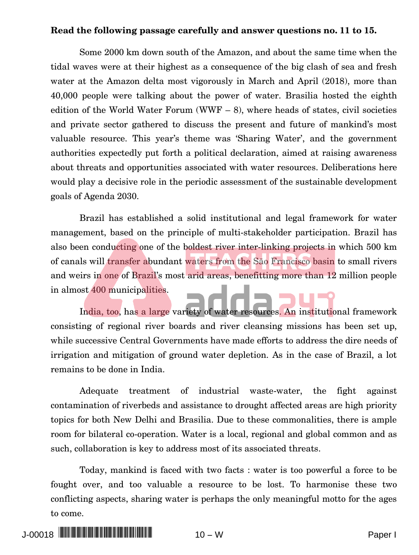#### **Read the following passage carefully and answer questions no. 11 to 15.**

Some 2000 km down south of the Amazon, and about the same time when the tidal waves were at their highest as a consequence of the big clash of sea and fresh water at the Amazon delta most vigorously in March and April (2018), more than 40,000 people were talking about the power of water. Brasilia hosted the eighth edition of the World Water Forum (WWF  $-$  8), where heads of states, civil societies and private sector gathered to discuss the present and future of mankind's most valuable resource. This year's theme was 'Sharing Water', and the government authorities expectedly put forth a political declaration, aimed at raising awareness about threats and opportunities associated with water resources. Deliberations here would play a decisive role in the periodic assessment of the sustainable development goals of Agenda 2030.

Brazil has established a solid institutional and legal framework for water management, based on the principle of multi-stakeholder participation. Brazil has also been conducting one of the boldest river inter-linking projects in which 500 km of canals will transfer abundant waters from the Sāo Francisco basin to small rivers and weirs in one of Brazil's most arid areas, benefitting more than 12 million people in almost 400 municipalities.

India, too, has a large variety of water resources. An institutional framework consisting of regional river boards and river cleansing missions has been set up, while successive Central Governments have made efforts to address the dire needs of irrigation and mitigation of ground water depletion. As in the case of Brazil, a lot remains to be done in India.

Adequate treatment of industrial waste-water, the fight against contamination of riverbeds and assistance to drought affected areas are high priority topics for both New Delhi and Brasilia. Due to these commonalities, there is ample room for bilateral co-operation. Water is a local, regional and global common and as such, collaboration is key to address most of its associated threats.

Today, mankind is faced with two facts : water is too powerful a force to be fought over, and too valuable a resource to be lost. To harmonise these two conflicting aspects, sharing water is perhaps the only meaningful motto for the ages to come.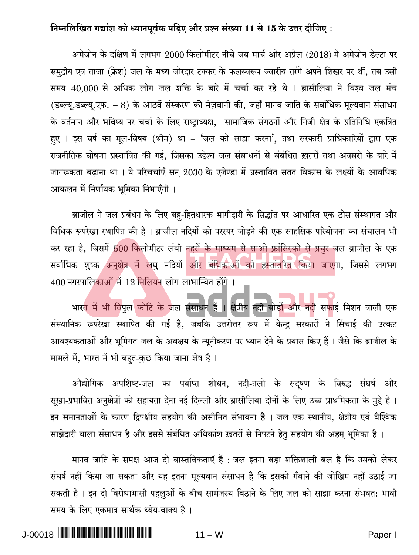## निम्नलिखित गद्यांश को ध्यानपूर्वक पढिए और प्रश्न संख्या 11 से 15 के उत्तर दीजिए:

अमेजोन के दक्षिण में लगभग 2000 किलोमीटर नीचे जब मार्च और अप्रैल (2018) में अमेजोन डेल्टा पर समुद्रीय एवं ताजा (फ्रेश) जल के मध्य जोरदार टक्कर के फलस्वरूप ज्वारीय तरंगें अपने शिखर पर थीं, तब उसी समय 40,000 से अधिक लोग जल शक्ति के बारे में चर्चा कर रहे थे । ब्रासीलिया ने विश्व जल मंच (डब्ल्यू.डब्ल्यू.एफ. – 8) के आठवें संस्करण की मेज़बानी की, जहाँ मानव जाति के सर्वाधिक मूल्यवान संसाधन के वर्तमान और भविष्य पर चर्चा के लिए राष्ट्राध्यक्ष, सामाजिक संगठनों और निजी क्षेत्र के प्रतिनिधि एकत्रित हए । इस वर्ष का मूल-विषय (थीम) था – 'जल को साझा करना', तथा सरकारी प्राधिकारियों द्वारा एक राजनीतिक घोषणा प्रस्तावित की गई, जिसका उद्देश्य जल संसाधनों से संबंधित ख़तरों तथा अवसरों के बारे में जागरूकता बढ़ाना था । ये परिचर्चाएँ सन् 2030 के एजेण्डा में प्रस्तावित सतत विकास के लक्ष्यों के आवधिक आकलन में निर्णायक भूमिका निभाएँगी ।

ब्राजील ने जल प्रबंधन के लिए बह-हितधारक भागीदारी के सिद्धांत पर आधारित एक ठोस संस्थागत और विधिक रूपरेखा स्थापित की है। ब्राजील नदियों को परस्पर जोड़ने की एक साहसिक परियोजना का संचालन भी कर रहा है, जिसमें 500 किलोमीटर लंबी नहरों के माध्यम से साओ फ्रांसिस्को से प्रचुर जल ब्राजील के एक सर्वाधिक शुष्क अनुक्षेत्र में लघु नदियों और बंधिकाओं को हस्तांतरित किया जाएगा, जिससे लगभग 400 नगरपालिकाओं में 12 मिलियन लोग लाभान्वित होंगे।

भारत में भी विपुल कोटि के जल संसाधन हैं । क्षेत्रीय नदी बोर्डों और नदी सफाई मिशन वाली एक संस्थानिक रूपरेखा स्थापित की गई है, जबकि उत्तरोत्तर रूप में केन्द्र सरकारों ने सिंचाई की उत्कट आवश्यकताओं और भूमिगत जल के अवक्षय के न्यूनीकरण पर ध्यान देने के प्रयास किए हैं। जैसे कि ब्राजील के मामले में, भारत में भी बहत-कुछ किया जाना शेष है।

औद्योगिक अपशिष्ट-जल का पर्याप्त शोधन, नदी-तलों के संदुषण के विरुद्ध संघर्ष और सूखा-प्रभावित अनुक्षेत्रों को सहायता देना नई दिल्ली और ब्रासीलिया दोनों के लिए उच्च प्राथमिकता के मुद्दे हैं। इन समानताओं के कारण द्विपक्षीय सहयोग की असीमित संभावना है । जल एक स्थानीय, क्षेत्रीय एवं वैश्विक साझेदारी वाला संसाधन है और इससे संबंधित अधिकांश ख़तरों से निपटने हेतु सहयोग की अहम् भूमिका है।

मानव जाति के समक्ष आज दो वास्तविकताएँ हैं : जल इतना बड़ा शक्तिशाली बल है कि उसको लेकर संघर्ष नहीं किया जा सकता और यह इतना मूल्यवान संसाधन है कि इसको गँवाने की जोखिम नहीं उठाई जा सकती है। इन दो विरोधाभासी पहलुओं के बीच सामंजस्य बिठाने के लिए जल को साझा करना संभवत: भावी समय के लिए एकमात्र सार्थक ध्येय-वाक्य है।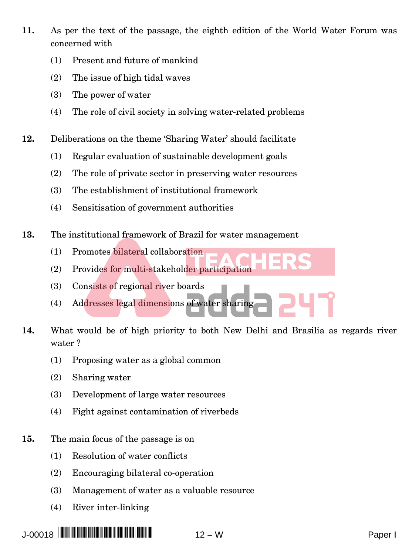- **11.** As per the text of the passage, the eighth edition of the World Water Forum was concerned with
	- (1) Present and future of mankind
	- (2) The issue of high tidal waves
	- (3) The power of water
	- (4) The role of civil society in solving water-related problems
- **12.** Deliberations on the theme 'Sharing Water' should facilitate
	- (1) Regular evaluation of sustainable development goals
	- (2) The role of private sector in preserving water resources
	- (3) The establishment of institutional framework
	- (4) Sensitisation of government authorities
- **13.** The institutional framework of Brazil for water management
	- (1) Promotes bilateral collaboration
	- (2) Provides for multi-stakeholder participation
	- (3) Consists of regional river boards
	- (4) Addresses legal dimensions of water sharing
- **14.** What would be of high priority to both New Delhi and Brasilia as regards river water ?
	- (1) Proposing water as a global common
	- (2) Sharing water
	- (3) Development of large water resources
	- (4) Fight against contamination of riverbeds
- **15.** The main focus of the passage is on
	- (1) Resolution of water conflicts
	- (2) Encouraging bilateral co-operation
	- (3) Management of water as a valuable resource
	- (4) River inter-linking

J-00018 \*J-00018 PAPER I\* <sup>12</sup> <sup>−</sup> <sup>W</sup> Paper I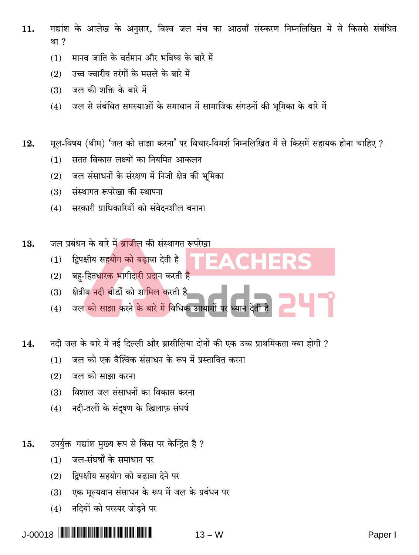- गद्यांश के आलेख के अनुसार, विश्व जल मंच का आठवाँ संस्करण निम्नलिखित में से किससे संबंधित  $11.$ था ?
	- मानव जाति के वर्तमान और भविष्य के बारे में  $(1)$
	- उच्च ज्वारीय तरंगों के मसले के बारे में  $(2)$
	- जल की शक्ति के बारे में  $(3)$
	- (4) जल से संबंधित समस्याओं के समाधान में सामाजिक संगठनों की भूमिका के बारे में
- मुल-विषय (थीम) 'जल को साझा करना' पर विचार-विमर्श निम्नलिखित में से किसमें सहायक होना चाहिए ?  $12.$ 
	- $(1)$ सतत विकास लक्ष्यों का नियमित आकलन
	- जल संसाधनों के संरक्षण में निजी क्षेत्र की भूमिका  $(2)$
	- संस्थागत रूपरेखा की स्थापना  $(3)$
	- (4) सरकारी प्राधिकारियों को संवेदनशील बनाना
- जल प्रबंधन के बारे में बाजील की संस्थागत रूपरेखा 13.
	- द्विपक्षीय सहयोग को बढ़ावा देती है  $(1)$
	- बह-हितधारक भागीदारी प्रदान करती है  $(2)$
	- क्षेत्रीय नदी बोर्डों को शामिल करती है  $(3)$
	- जल को साझा करने के बारे में विधिक आयामों पर ध्यान  $(4)$
- नदी जल के बारे में नई दिल्ली और ब्रासीलिया दोनों की एक उच्च प्राथमिकता क्या होगी ? 14.
	- जल को एक वैश्विक संसाधन के रूप में प्रस्तावित करना  $(1)$
	- $(2)$ जल को साझा करना
	- विशाल जल संसाधनों का विकास करना  $(3)$
	- नदी-तलों के संदुषण के ख़िलाफ़ संघर्ष  $(4)$
- उपर्युक्त गद्यांश मुख्य रूप से किस पर केन्द्रित है ? 15.
	- जल-संघर्षों के समाधान पर  $(1)$
	- द्विपक्षीय सहयोग को बढावा देने पर  $(2)$
	- एक मूल्यवान संसाधन के रूप में जल के प्रबंधन पर  $(3)$
	- नदियों को परस्पर जोड़ने पर  $(4)$

 $J-00018$  $13 - W$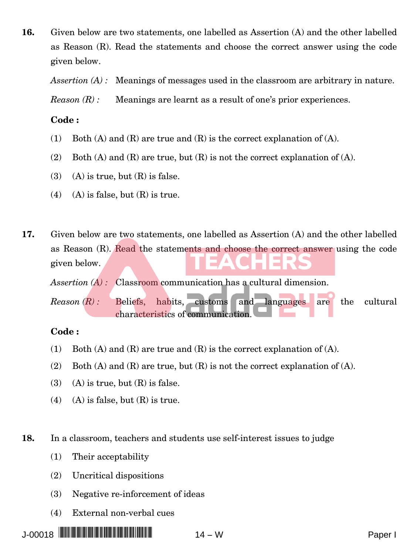**16.** Given below are two statements, one labelled as Assertion (A) and the other labelled as Reason (R). Read the statements and choose the correct answer using the code given below.

*Assertion* (A) : Meanings of messages used in the classroom are arbitrary in nature.

*Reason*  $(R)$ *:* Meanings are learnt as a result of one's prior experiences.

#### **Code :**

- (1) Both (A) and (R) are true and (R) is the correct explanation of (A).
- (2) Both (A) and (R) are true, but  $(R)$  is not the correct explanation of (A).
- (3) (A) is true, but  $(R)$  is false.
- (4) (A) is false, but  $(R)$  is true.
- **17.** Given below are two statements, one labelled as Assertion (A) and the other labelled as Reason (R). Read the statements and choose the correct answer using the code given below.

*Assertion (A) :* Classroom communication has a cultural dimension.

*Reason (R) :* Beliefs, habits, customs and languages are the cultural characteristics of communication.

#### **Code :**

- (1) Both (A) and (R) are true and (R) is the correct explanation of (A).
- (2) Both (A) and (R) are true, but (R) is not the correct explanation of (A).
- (3) (A) is true, but  $(R)$  is false.
- (4) (A) is false, but  $(R)$  is true.

**18.** In a classroom, teachers and students use self-interest issues to judge

- (1) Their acceptability
- (2) Uncritical dispositions
- (3) Negative re-inforcement of ideas
- (4) External non-verbal cues

J-00018 \*J-00018 PAPER I\* <sup>14</sup> <sup>−</sup> <sup>W</sup> Paper I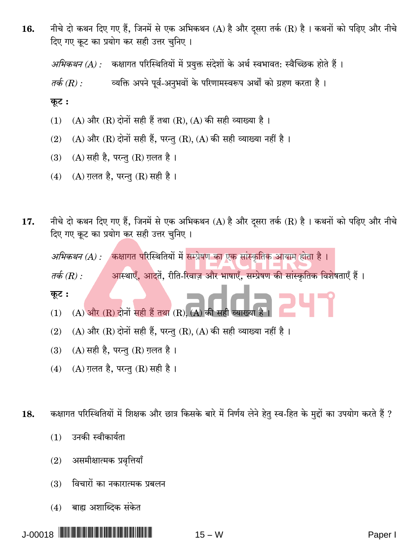नीचे दो कथन दिए गए हैं, जिनमें से एक अभिकथन (A) है और दसरा तर्क (R) है। कथनों को पढ़िए और नीचे 16. दिए गए कूट का प्रयोग कर सही उत्तर चुनिए।

अभिकथन (A) : कक्षागत परिस्थितियों में प्रयुक्त संदेशों के अर्थ स्वभावत: स्वैच्छिक होते हैं ।

व्यक्ति अपने पूर्व-अनुभवों के परिणामस्वरूप अर्थों को ग्रहण करता है। तर्क (R) :

कूट:

- $(A)$  और  $(R)$  दोनों सही हैं तथा  $(R)$ ,  $(A)$  की सही व्याख्या है।  $(1)$
- (A) और (R) दोनों सही हैं, परन्तु (R), (A) की सही व्याख्या नहीं है।  $(2)$
- $(A)$  सही है, परन्तु  $(R)$  ग़लत है।  $(3)$
- $(A)$  ग़लत है, परन्तु  $(R)$  सही है।  $(4)$
- नीचे दो कथन दिए गए हैं, जिनमें से एक अभिकथन (A) है और दुसरा तर्क (R) है। कथनों को पढ़िए और नीचे 17. दिए गए कूट का प्रयोग कर सही उत्तर चुनिए ।

अ*भिकथन (A) : वि*क्षागत परिस्थितियों में सम्प्रेषण का एक सांस्कृतिक आयाम होता है।

आस्थाएँ, आदतें, रीति-रिवाज़ और भाषाएँ, सम्प्रेषण की सांस्कृतिक विशेषताएँ हैं। तर्क (R)  $\cdot$ 

कूट:

- $(A)$  और  $(R)$  दोनों सही हैं तथा  $(R)$ ,  $(A)$  की सही  $(1)$
- (A) और (R) दोनों सही हैं, परन्तु (R), (A) की सही व्याख्या नहीं है।  $(2)$
- (A) सही है, परन्तु (R) ग़लत है।  $(3)$
- $(A)$  ग़लत है, परन्तु  $(R)$  सही है।  $(4)$

कक्षागत परिस्थितियों में शिक्षक और छात्र किसके बारे में निर्णय लेने हेतु स्व-हित के मुद्दों का उपयोग करते हैं ? 18.

- उनकी स्वीकार्यता  $(1)$
- असमीक्षात्मक प्रवृत्तियाँ  $(2)$
- विचारों का नकारात्मक प्रबलन  $(3)$
- बाह्य अशाब्दिक संकेत  $(4)$

 $15 - W$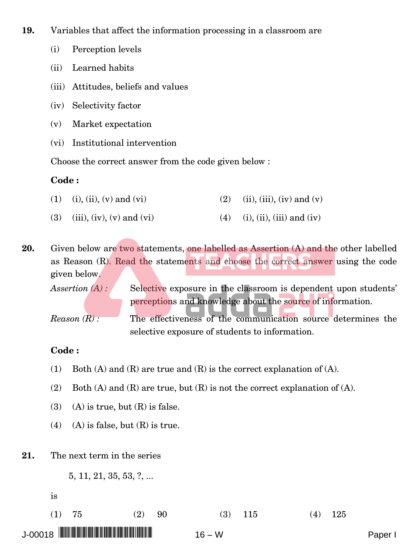**19.** Variables that affect the information processing in a classroom are

- (i) Perception levels
- (ii) Learned habits
- (iii) Attitudes, beliefs and values
- (iv) Selectivity factor
- (v) Market expectation
- (vi) Institutional intervention

Choose the correct answer from the code given below :

#### **Code :**

- (1) (i), (ii), (v) and (vi) (2) (ii), (iii), (iv) and (v)
- (3) (iii), (iv), (v) and (vi) (4) (i), (ii), (iii) and (iv)

**20.** Given below are two statements, one labelled as Assertion (A) and the other labelled as Reason (R). Read the statements and choose the correct answer using the code given below.

*Assertion* (A) : Selective exposure in the classroom is dependent upon students' perceptions and knowledge about the source of information.

*Reason (R) :* The effectiveness of the communication source determines the selective exposure of students to information.

#### **Code :**

- (1) Both (A) and (R) are true and (R) is the correct explanation of (A).
- (2) Both (A) and (R) are true, but  $(R)$  is not the correct explanation of (A).
- (3) (A) is true, but  $(R)$  is false.
- (4) (A) is false, but  $(R)$  is true.
- **21.** The next term in the series

5, 11, 21, 35, 53, ?, ...

is

J-00018 \*J-00018 PAPER I\* <sup>16</sup> <sup>−</sup> <sup>W</sup> Paper I (1)  $75$  (2)  $90$  (3)  $115$  (4)  $125$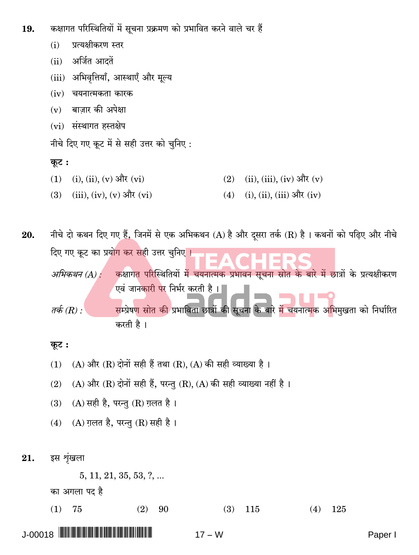- कक्षागत परिस्थितियों में सचना प्रक्रमण को प्रभावित करने वाले चर हैं 19.
	- प्रत्यक्षीकरण स्तर  $(i)$
	- अर्जित आदतें  $(ii)$
	- अभिवृत्तियाँ, आस्थाएँ और मूल्य  $(iii)$
	- $(iv)$  चयनात्मकता कारक
	- बाजार की अपेक्षा  $(v)$
	- (vi) संस्थागत हस्तक्षेप
	- नीचे दिए गए कूट में से सही उत्तर को चुनिए:

#### कूट:

- $(i), (ii), (v)$  और  $(vi)$  $(ii), (iii), (iv)$  और  $(v)$  $(1)$  $(2)$
- $(iii)$ ,  $(iv)$ ,  $(v)$  और  $(vi)$  $(i)$ ,  $(ii)$ ,  $(iii)$  और  $(iv)$  $(3)$  $(4)$

नीचे दो कथन दिए गए हैं, जिनमें से एक अभिकथन (A) है और दुसरा तर्क (R) है। कथनों को पढ़िए और नीचे 20. दिए गए कूट का प्रयोग कर सही उत्तर चुनिए । कक्षागत परिस्थितियों में चयनात्मक प्रभावन सूचना स्रोत के बारे में छात्रों के प्रत्यक्षीकरण अभिकथन (A) : $\cdot$ एवं जानकारी पर निर्भर करती है। । तर्क (R) : सम्प्रेषण स्रोत की प्रभाविता छात्रों की सूचना के बारे में चयनात्मक अभिमुखता को निर्धारित करती है।

#### कूट:

- (A) और (R) दोनों सही हैं तथा (R), (A) की सही व्याख्या है।  $(1)$
- (A) और (R) दोनों सही हैं, परन्तु (R), (A) की सही व्याख्या नहीं है।  $(2)$
- (A) सही है, परन्तु (R) ग़लत है।  $(3)$
- (A) ग़लत है, परन्तु (R) सही है ।  $(4)$
- इस शृंखला 21.

 $5, 11, 21, 35, 53, ?, ...$ का अगला पद है

 $(1)$ 75  $(2)$ 90  $(3)$ 115  $(4)$ 125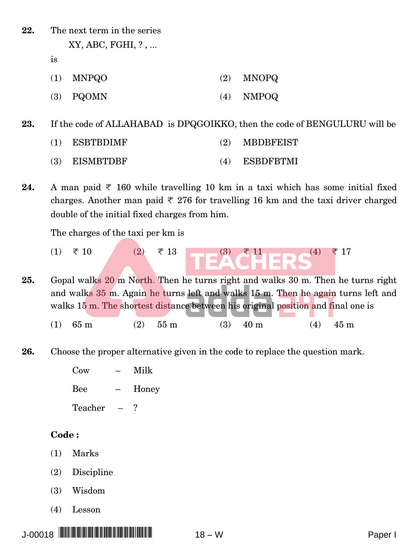**22.** The next term in the series XY, ABC, FGHI, ? , ...

is

- (1) MNPQO (2) MNOPQ
- (3) PQOMN (4) NMPOQ

**23.** If the code of ALLAHABAD is DPQGOIKKO, then the code of BENGULURU will be

- (1) ESBTBDIMF (2) MBDBFEIST
- (3) EISMBTDBF (4) ESBDFBTMI
- **24.** A man paid  $\overline{\tau}$  160 while travelling 10 km in a taxi which has some initial fixed charges. Another man paid  $\overline{\tau}$  276 for travelling 16 km and the taxi driver charged double of the initial fixed charges from him.

The charges of the taxi per km is

(1)  $\bar{\tau}$  10 (2)  $\bar{\tau}$  13  $\begin{bmatrix} 3 & \bar{\tau} & 11 \\ 1 & 1 & \bar{\tau} & 8 \end{bmatrix}$  (4)  $\bar{\tau}$  17

**25.** Gopal walks 20 m North. Then he turns right and walks 30 m. Then he turns right and walks 35 m. Again he turns left and walks 15 m. Then he again turns left and walks 15 m. The shortest distance between his original position and final one is

- (1)  $65 \text{ m}$  (2)  $55 \text{ m}$  (3)  $40 \text{ m}$  (4)  $45 \text{ m}$
- **26.** Choose the proper alternative given in the code to replace the question mark.

Cow – Milk Bee – Honey Teacher – ?

#### **Code :**

- (1) Marks
- (2) Discipline
- (3) Wisdom
- (4) Lesson

J-00018 \*J-00018 PAPER I\* <sup>18</sup> <sup>−</sup> <sup>W</sup> Paper I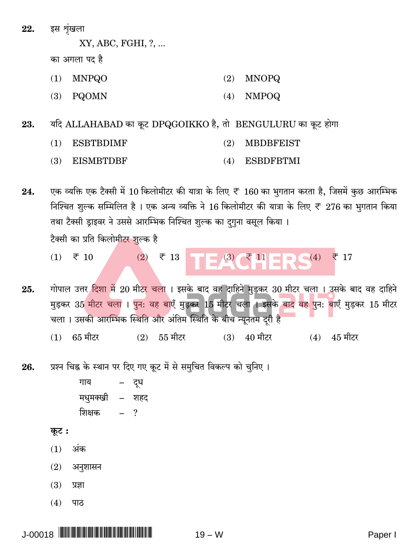इस शृंखला 22.

XY, ABC, FGHI, ?, ...

का अगला पद है

- $(1)$ **MNPQO**  $(2)$ **MNOPQ**
- $(3)$  PQOMN  $(4)$ **NMPOQ**

यदि ALLAHABAD का कूट DPQGOIKKO है, तो BENGULURU का कूट होगा 23.

- $(1)$ **ESBTBDIMF**  $(2)$ **MBDBFEIST**
- **EISMRTDRF ESBDFRTMI**  $(3)$  $(4)$

एक व्यक्ति एक टैक्सी में 10 किलोमीटर की यात्रा के लिए ₹ 160 का भुगतान करता है, जिसमें कुछ आरम्भिक 24. निश्चित शुल्क सम्मिलित है। एक अन्य व्यक्ति ने 16 किलोमीटर की यात्रा के लिए ₹ 276 का भुगतान किया तथा टैक्सी ड्राइवर ने उससे आरम्भिक निश्चित शुल्क का दगुना वसूल किया। टैक्सी का प्रति किलोमीटर शुल्क है

- $\begin{array}{|c|c|c|c|c|}\hline \rule{0pt}{1ex} \hline \rule{0pt}{2ex} \rule{0pt}{2ex} \rule{0pt}{2ex} \rule{0pt}{2ex} \rule{0pt}{2ex} \rule{0pt}{2ex} \rule{0pt}{2ex} \rule{0pt}{2ex} \rule{0pt}{2ex} \rule{0pt}{2ex} \rule{0pt}{2ex} \rule{0pt}{2ex} \rule{0pt}{2ex} \rule{0pt}{2ex} \rule{0pt}{2ex} \rule{0pt}{2ex} \rule{0pt}{2ex} \rule{0pt}{2ex} \rule{0pt}{2ex} \rule{0pt}{2ex} \rule{0pt}{2ex}$  $(2)$   $\overline{5}$  13  $\overline{5}$  10  $(1)$
- गोपाल उत्तर दिशा में 20 मीटर चला । इसके बाद वह दाहिने मुड़कर 30 मीटर चला । उसके बाद वह दाहिने 25. मुड़कर 35 मीटर चला । पुन: वह बाएँ मुड़कर 15 मीटर चला । इसके बाद वह पुन: बाएँ मुड़कर 15 मीटर चला। उसकी आरम्भिक स्थिति और अंतिम स्थिति के बीच न्यूनतम दरी है
	- 65 मीटर 55 मीटर  $40$  मीटर  $(4)$   $45$  मीटर  $(1)$  $(2)$  $(3)$
- प्रश्न चिह्न के स्थान पर दिए गए कूट में से समुचित विकल्प को चुनिए । 26.
	- दूध गाय मधुमक्खी – शहद शिक्षक  $\overline{a}$  $\gamma$

## कूट :

- अंक  $(1)$
- $(2)$ अनुशासन
- $(3)$ प्रज्ञा
- $(4)$ पाठ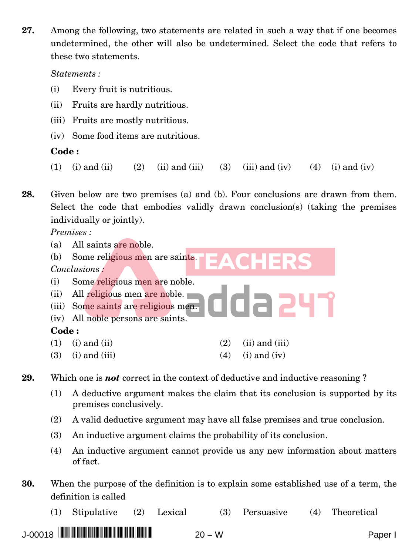**27.** Among the following, two statements are related in such a way that if one becomes undetermined, the other will also be undetermined. Select the code that refers to these two statements.

*Statements :*

- (i) Every fruit is nutritious.
- (ii) Fruits are hardly nutritious.
- (iii) Fruits are mostly nutritious.
- (iv) Some food items are nutritious.

## **Code :**

(1) (i) and (ii) (2) (ii) and (iii) (3) (iii) and (iv) (4) (i) and (iv)

**28.** Given below are two premises (a) and (b). Four conclusions are drawn from them. Select the code that embodies validly drawn conclusion(s) (taking the premises individually or jointly).

*Premises :*

| All saints are noble.<br>(a)          |                           |
|---------------------------------------|---------------------------|
| Some religious men are saints.<br>(b) |                           |
| Conclusions:                          |                           |
| Some religious men are noble.<br>(i)  |                           |
| All religious men are noble.<br>(ii)  |                           |
| (iii) Some saints are religious men.  |                           |
| (iv) All noble persons are saints.    |                           |
| Code:                                 |                           |
| $(i)$ and $(ii)$<br>(1)               | $(ii)$ and $(iii)$<br>(2) |
| (3)<br>$(i)$ and $(iii)$              | $(i)$ and $(iv)$<br>4)    |

**29.** Which one is *not* correct in the context of deductive and inductive reasoning ?

- (1) A deductive argument makes the claim that its conclusion is supported by its premises conclusively.
- (2) A valid deductive argument may have all false premises and true conclusion.
- (3) An inductive argument claims the probability of its conclusion.
- (4) An inductive argument cannot provide us any new information about matters of fact.
- **30.** When the purpose of the definition is to explain some established use of a term, the definition is called
	- (1) Stipulative (2) Lexical (3) Persuasive (4) Theoretical

J-00018 \*J-00018 PAPER I\* <sup>20</sup> <sup>−</sup> <sup>W</sup> Paper I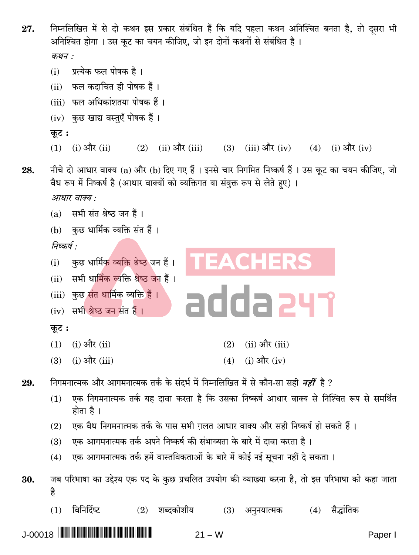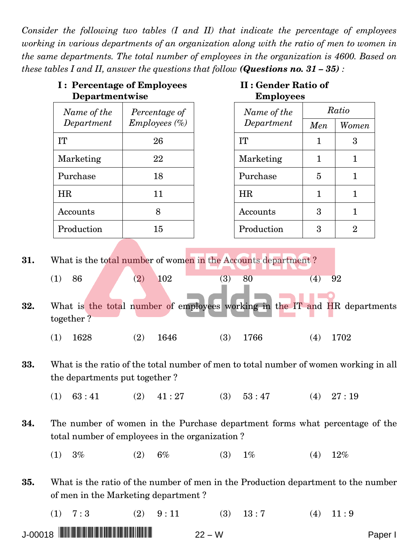*Consider the following two tables (I and II) that indicate the percentage of employees working in various departments of an organization along with the ratio of men to women in the same departments. The total number of employees in the organization is 4600. Based on these tables I and II, answer the questions that follow (Questions no.*  $31 - 35$ ):

| Departmentwise   | <b>I: Percentage of Employees</b> | II : Gender Ratio of<br><b>Employees</b> |     |       |  |  |
|------------------|-----------------------------------|------------------------------------------|-----|-------|--|--|
| Name of the      | Percentage of                     | Name of the                              |     | Ratio |  |  |
| Department       | Embloyes(%)                       | Department                               | Men | Women |  |  |
| IТ               | 26                                | IT                                       | 1   | 3     |  |  |
| Marketing        | 22                                | Marketing                                |     |       |  |  |
| Purchase         | 18                                | Purchase                                 | 5   | 1     |  |  |
| <b>HR</b>        | 11                                | HR                                       |     |       |  |  |
| Accounts         | 8                                 | Accounts                                 | 3   |       |  |  |
| Production<br>15 |                                   | Production                               | 3   | 2     |  |  |
|                  |                                   |                                          |     |       |  |  |

**31.** What is the total number of women in the Accounts department ?

|     | 86        | $2^{\circ}$ | 102 |                                                                            |  | 4 | 92 |  |
|-----|-----------|-------------|-----|----------------------------------------------------------------------------|--|---|----|--|
|     |           |             |     |                                                                            |  |   |    |  |
|     |           |             |     | What is the total number of employees working in the IT and HR departments |  |   |    |  |
| 32. |           |             |     |                                                                            |  |   |    |  |
|     | together? |             |     |                                                                            |  |   |    |  |

| $(1)$ 1628 |  |  | $(2)$ 1646 |  | $(3)$ 1766 |  | $(4)$ 1702 |
|------------|--|--|------------|--|------------|--|------------|
|------------|--|--|------------|--|------------|--|------------|

- **33.** What is the ratio of the total number of men to total number of women working in all the departments put together ?
	- (1)  $63:41$  (2)  $41:27$  (3)  $53:47$  (4)  $27:19$
- **34.** The number of women in the Purchase department forms what percentage of the total number of employees in the organization ?
	- (1)  $3\%$  (2)  $6\%$  (3)  $1\%$  (4)  $12\%$
- **35.** What is the ratio of the number of men in the Production department to the number of men in the Marketing department ?
	- $(1)$  7:3  $(2)$  9:11  $(3)$  13:7  $(4)$  11:9
- J-00018 \*J-00018 PAPER I\* <sup>22</sup> <sup>−</sup> <sup>W</sup> Paper I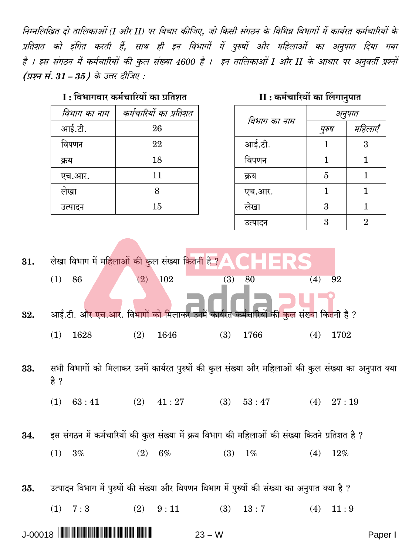निम्नलिखित दो तालिकाओं (I और II) पर विचार कीजिए. जो किसी संगठन के विभिन्न विभागों में कार्यरत कर्मचारियों के प्रतिशत को इंगित करती हैं, साथ ही इन विभागों में पुरुषों और महिलाओं का अनुपात दिया गया है । इस संगठन में कर्मचारियों की कुल संख्या 4600 है । इन तालिकाओं I और II के आधार पर अनुवर्ती प्रश्नों (प्रश्न सं.  $31-35$ ) के उत्तर दीजिए :

## I : विभागवार कर्मचारियों का प्रतिशत

| विभाग का नाम | कर्मचारियों का प्रतिशत |
|--------------|------------------------|
| आई.टी.       | 26                     |
| विपणन        | 22                     |
| क्रय         | 18                     |
| एच.आर.       | 11                     |
| लेखा         | 8                      |
| उत्पादन      | 15                     |

## II: कर्मचारियों का लिंगानुपात

| विभाग का नाम | अनुपात |                             |  |  |  |
|--------------|--------|-----------------------------|--|--|--|
|              | पुरुष  | महिलाएँ                     |  |  |  |
| आई.टी.       | 1      | 3                           |  |  |  |
| विपणन        | 1      |                             |  |  |  |
| क्रय         | 5      | 1                           |  |  |  |
| एच.आर.       | 1      | 1                           |  |  |  |
| लेखा         | 3      |                             |  |  |  |
| उत्पादन      | 3      | $\mathcal{D}_{\mathcal{A}}$ |  |  |  |

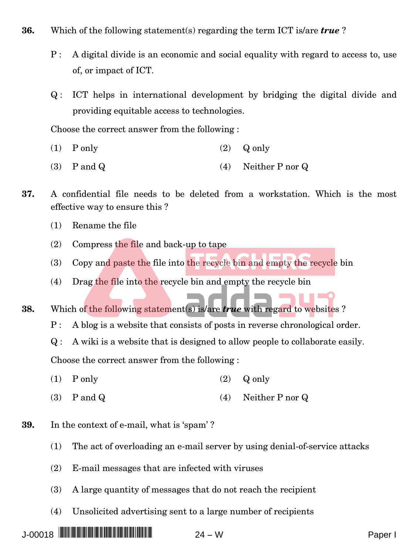- **36.** Which of the following statement(s) regarding the term ICT is/are *true* ?
	- P : A digital divide is an economic and social equality with regard to access to, use of, or impact of ICT.
	- Q : ICT helps in international development by bridging the digital divide and providing equitable access to technologies.

Choose the correct answer from the following :

- (1)  $P \text{ only}$  (2)  $Q \text{ only}$
- (3) P and Q (4) Neither P nor Q
- **37.** A confidential file needs to be deleted from a workstation. Which is the most effective way to ensure this ?
	- (1) Rename the file
	- $(2)$  Compress the file and back-up to tape
	- (3) Copy and paste the file into the recycle bin and empty the recycle bin
	- (4) Drag the file into the recycle bin and empty the recycle bin
- **38.** Which of the following statement(s) is/are *true* with regard to websites ?
	- P : A blog is a website that consists of posts in reverse chronological order.

Q : A wiki is a website that is designed to allow people to collaborate easily.

Choose the correct answer from the following :

- (1)  $P \text{ only}$  (2)  $Q \text{ only}$
- (3) P and Q (4) Neither P nor Q
- **39.** In the context of e-mail, what is 'spam' ?
	- (1) The act of overloading an e-mail server by using denial-of-service attacks
	- (2) E-mail messages that are infected with viruses
	- (3) A large quantity of messages that do not reach the recipient
	- (4) Unsolicited advertising sent to a large number of recipients

J-00018 \*J-00018 PAPER I\* <sup>24</sup> <sup>−</sup> <sup>W</sup> Paper I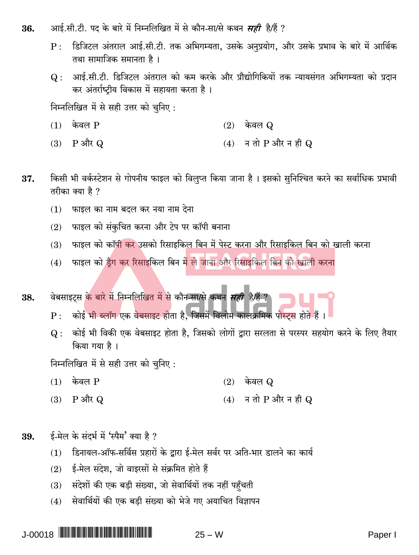- आई.सी.टी. पद के बारे में निम्नलिखित में से कौन-सा/से कथन *सही* है/हैं ? 36.
	- डिजिटल अंतराल आई.सी.टी. तक अभिगम्यता, उसके अनुप्रयोग, और उसके प्रभाव के बारे में आर्थिक  $\mathbf{p}$ : तथा सामाजिक समानता है ।
	- आई.सी.टी. डिजिटल अंतराल को कम करके और प्रौद्योगिकियों तक न्यायसंगत अभिगम्यता को प्रदान  $Q:$ कर अंतर्राष्टीय विकास में सहायता करता है।

निम्नलिखित में से सही उत्तर को चुनिए:

- केवल P  $(1)$  $(2)$  केवल  $\Omega$
- न तो  $P$  और न ही  $Q$  $(3)$  P और Q  $(4)$
- किसी भी वर्कस्टेशन से गोपनीय फाइल को विलुप्त किया जाना है। इसको सुनिश्चित करने का सर्वाधिक प्रभावी 37. तरीका क्या है ?
	- फाइल का नाम बदल कर नया नाम देना  $(1)$
	- फाइल को संकुचित करना और टेप पर कॉपी बनाना  $(2)$
	- फाइल को कॉ<mark>पी कर</mark> उसको रिसाइकि<u>ल बिन में पेस्ट करना और रिसाइकिल बिन को खा</u>ली करना  $(3)$
	- फाइल को डैग कर रिसाइकिल बिन में ले जाना और रिसाइकिल बिन को खाली करना  $(4)$

वेबसाइटस के बारे में निम्नलिखित में से कौन-सा/से कथन *सही* है/हैं ? 38.

- कोई भी ब्लॉग एक वेबसाइट होता है, जिसमें विलोम कालक्रमिक पोस्ट्स होते हैं।  $P:$
- कोई भी विकी एक वेबसाइट होता है, जिसको लोगों द्वारा सरलता से परस्पर सहयोग करने के लिए तैयार  $Q:$ किया गया है।

निम्नलिखित में से सही उत्तर को चुनिए:

- केवल P  $(1)$  $(2)$  केवल Q
- न तो  $P$  और न ही  $Q$  $(3)$ P और Q  $(4)$
- ई-मेल के संदर्भ में 'स्पैम' क्या है ? 39.
	- डिनायल-ऑफ-सर्विस प्रहारों के द्वारा ई-मेल सर्वर पर अति-भार डालने का कार्य  $(1)$
	- ई-मेल संदेश, जो वाइरसों से संक्रमित होते हैं  $(2)$
	- (3) संदेशों की एक बड़ी संख्या, जो सेवार्थियों तक नहीं पहुँचती
	- सेवार्थियों की एक बड़ी संख्या को भेजे गए अयाचित विज्ञापन  $(4)$

**J-00018 ||||||||||||||||||||||||** 

 $25 - W$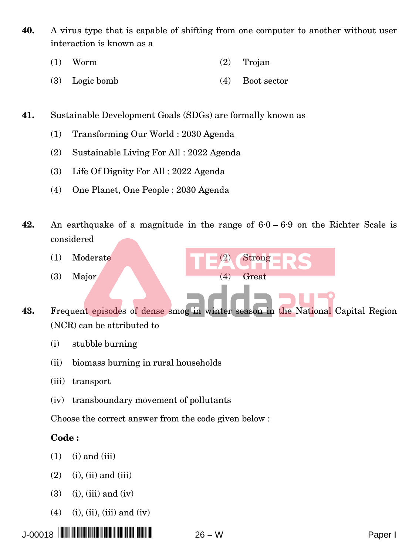- **40.** A virus type that is capable of shifting from one computer to another without user interaction is known as a
	- (1) Worm (2) Trojan
	- (3) Logic bomb (4) Boot sector
- **41.** Sustainable Development Goals (SDGs) are formally known as
	- (1) Transforming Our World : 2030 Agenda
	- (2) Sustainable Living For All : 2022 Agenda
	- (3) Life Of Dignity For All : 2022 Agenda
	- (4) One Planet, One People : 2030 Agenda
- **42.** An earthquake of a magnitude in the range of 6·0 6·9 on the Richter Scale is considered
	- (1) Moderate (2) Strong
	- (3) Major (4) Great
- **43.** Frequent episodes of dense smog in winter season in the National Capital Region (NCR) can be attributed to
	- (i) stubble burning
	- (ii) biomass burning in rural households
	- (iii) transport
	- (iv) transboundary movement of pollutants

Choose the correct answer from the code given below :

#### **Code :**

- $(1)$  (i) and (iii)
- $(2)$  (i), (ii) and (iii)
- $(3)$   $(i)$ ,  $(iii)$  and  $(iv)$
- (4) (i), (ii), (iii) and (iv)

J-00018 \*J-00018 PAPER I\* <sup>26</sup> <sup>−</sup> <sup>W</sup> Paper I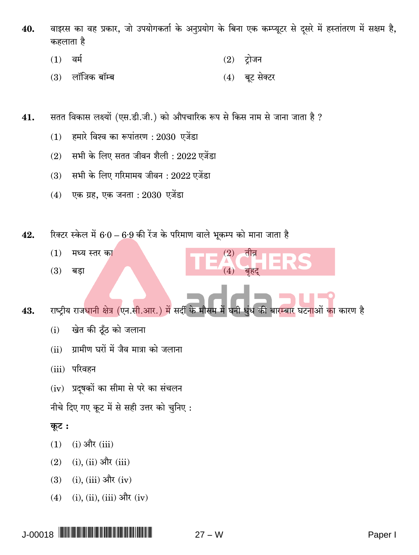- वाइरस का वह प्रकार, जो उपयोगकर्ता के अनुप्रयोग के बिना एक कम्प्यूटर से दसरे में हस्तांतरण में सक्षम है, 40. कहलाता है
	- $(1)$ ਕਸੀ  $(2)$  ट्रोजन
	- लॉजिक बॉम्ब  $(3)$ बूट सेक्टर  $(4)$
- सतत विकास लक्ष्यों (एस.डी.जी.) को औपचारिक रूप से किस नाम से जाना जाता है ? 41.
	- हमारे विश्व का रूपांतरण : 2030 एजेंडा  $(1)$
	- सभी के लिए सतत जीवन शैली : 2022 एजेंडा  $(2)$
	- सभी के लिए गरिमामय जीवन : 2022 एजेंडा  $(3)$
	- $(4)$  एक ग्रह, एक जनता : 2030 एजेंडा
- रिक्टर स्केल में 6.0 6.9 की रेंज के परिमाण वाले भूकम्प को माना जाता है 42.
	- $(1)$ मध्य स्तर का
	- $(3)$ बडा
- राष्ट्रीय राजधानी क्षेत्र (एन.सी.आर.) में सर्दी के मौसम में घनी 43. धंध की बारम्बार घटनाओं का कारण है

 $(2)$ 

- खेत की ठूँठ को जलाना  $(i)$
- ग्रामीण घरों में जैव मात्रा को जलाना  $(ii)$
- (iii) परिवहन
- (iv) प्रदुषकों का सीमा से परे का संचलन
- नीचे दिए गए कूट में से सही उत्तर को चुनिए:

## कूट:

- $(i)$  और  $(iii)$  $(1)$
- $(i)$ ,  $(ii)$  और  $(iii)$  $(2)$
- $(i)$ ,  $(iii)$  और  $(iv)$  $(3)$
- $(i)$ ,  $(ii)$ ,  $(iii)$  और  $(iv)$  $(4)$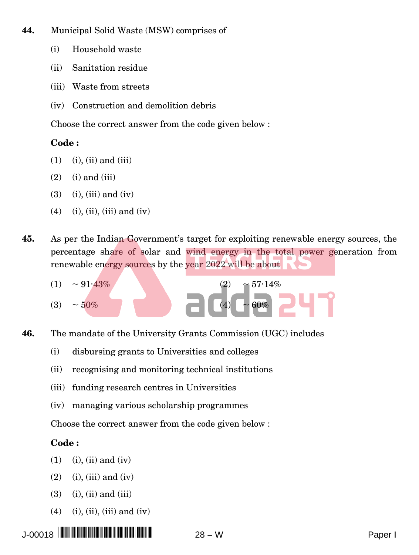- **44.** Municipal Solid Waste (MSW) comprises of
	- (i) Household waste
	- (ii) Sanitation residue
	- (iii) Waste from streets
	- (iv) Construction and demolition debris

Choose the correct answer from the code given below :

## **Code :**

- $(1)$   $(i)$ ,  $(ii)$  and  $(iii)$
- $(2)$  (i) and (iii)
- $(3)$   $(i)$ ,  $(iii)$  and  $(iv)$
- $(4)$  (i), (ii), (iii) and (iv)
- **45.** As per the Indian Government's target for exploiting renewable energy sources, the percentage share of solar and wind energy in the total power generation from renewable energy sources by the year 2022 will be about



- **46.** The mandate of the University Grants Commission (UGC) includes
	- (i) disbursing grants to Universities and colleges
	- (ii) recognising and monitoring technical institutions
	- (iii) funding research centres in Universities
	- (iv) managing various scholarship programmes

Choose the correct answer from the code given below :

## **Code :**

- $(1)$   $(i)$ ,  $(ii)$  and  $(iv)$
- $(2)$  (i), (iii) and (iv)
- $(3)$   $(i)$ ,  $(ii)$  and  $(iii)$
- $(4)$  (i), (ii), (iii) and (iv)

J-00018 \*J-00018 PAPER I\* <sup>28</sup> <sup>−</sup> <sup>W</sup> Paper I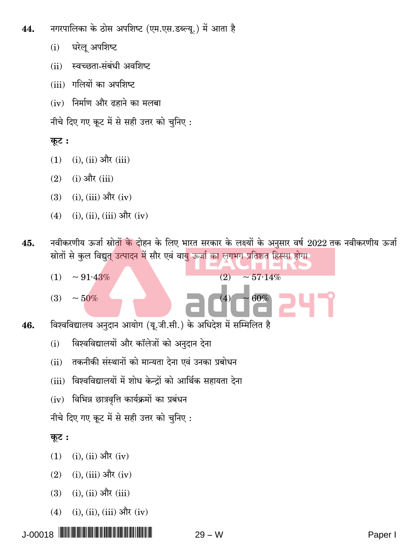- नगरपालिका के ठोस अपशिष्ट (एम.एस.डब्ल्य.) में आता है 44.
	- घरेलू अपशिष्ट  $(i)$
	- स्वच्छता-संबंधी अवशिष्ट  $(ii)$
	- (iii) गलियों का अपशिष्ट
	- (iv) निर्माण और ढहाने का मलबा
	- नीचे दिए गए कट में से सही उत्तर को चनिए:

## कूट:

- $(i)$ ,  $(ii)$  और  $(iii)$  $(1)$
- $(i)$  और  $(iii)$  $(2)$
- $(i)$ ,  $(iii)$  और  $(iv)$  $(3)$
- $(i), (ii), (iii)$  और  $(iv)$  $(4)$
- नवीकरणीय ऊर्जा स्रोतों <mark>के दो</mark>हन के लिए भारत सरकार के लक्ष्यों के अनुसार वर्ष 2022 तक नवीकरणीय ऊर्जा 45. स्रोतों से कुल विद्युत उत्पादन में सौर एवं वायु ऊर्जा का लगभग प्रतिशत हिस्सा होगा।

 $(2)$ 

 $\sim 57.14\%$ 

 $60%$ 

- $\sim 91.43\%$  $(1)$
- $\sim 50\%$  $(3)$
- विश्वविद्यालय अनुदान आयोग (यू.जी.सी.) के अधिदेश में सम्मिलित है 46.
	- विश्वविद्यालयों और कॉलेजों को अनुदान देना  $(i)$
	- तकनीकी संस्थानों को मान्यता देना एवं उनका प्रबोधन  $(ii)$
	- (iii) विश्वविद्यालयों में शोध केन्द्रों को आर्थिक सहायता देना
	- $(iv)$  विभिन्न छात्रवृत्ति कार्यक्रमों का प्रबंधन

नीचे दिए गए कूट में से सही उत्तर को चुनिए:

## कूट:

- $(1)$  $(i)$ ,  $(ii)$  और  $(iv)$
- $(i)$ ,  $(iii)$  और  $(iv)$  $(2)$
- $(i)$ ,  $(ii)$  और  $(iii)$  $(3)$
- (i), (ii), (iii) और (iv)  $(4)$

**J-00018 ||||||||||||||||||||||||**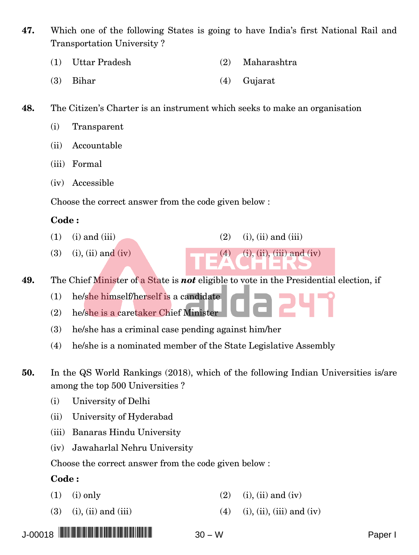**47.** Which one of the following States is going to have India's first National Rail and Transportation University ?

- (1) Uttar Pradesh (2) Maharashtra
- (3) Bihar (4) Gujarat
- **48.** The Citizen's Charter is an instrument which seeks to make an organisation
	- (i) Transparent
	- (ii) Accountable
	- (iii) Formal
	- (iv) Accessible

Choose the correct answer from the code given below :

#### **Code :**

- (1) (i) and (iii) (2) (i), (ii) and (iii)
- (3) (i), (ii) and (iv) (4) (i), (ii), (iii) and (iv)

**49.** The Chief Minister of a State is *not* eligible to vote in the Presidential election, if

- (1) he/she himself/herself is a candidate
- (2) he/she is a caretaker Chief Minister
- (3) he/she has a criminal case pending against him/her
- (4) he/she is a nominated member of the State Legislative Assembly
- **50.** In the QS World Rankings (2018), which of the following Indian Universities is/are among the top 500 Universities ?
	- (i) University of Delhi
	- (ii) University of Hyderabad
	- (iii) Banaras Hindu University
	- (iv) Jawaharlal Nehru University

Choose the correct answer from the code given below :

#### **Code :**

- (1) (i) only (2) (i), (ii) and (iv)
- (3) (i), (ii) and (iii) (4) (i), (ii), (iii) and (iv)

J-00018 \*J-00018 PAPER I\* <sup>30</sup> <sup>−</sup> <sup>W</sup> Paper I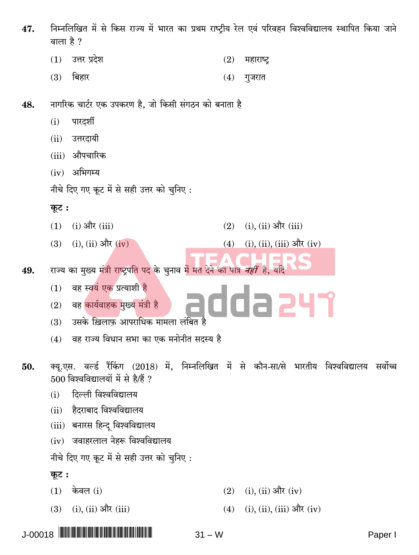- निम्नलिखित में से किस राज्य में भारत का प्रथम राष्टीय रेल एवं परिवहन विश्वविद्यालय स्थापित किया जाने 47. वाला है ?
	- उत्तर प्रदेश  $(1)$  $(2)$ महाराष्ट्र
	- बिहार  $(3)$  $(4)$ गुजरात
- नागरिक चार्टर एक उपकरण है, जो किसी संगठन को बनाता है 48.
	- पारदर्शी  $(i)$
	- उत्तरदायी  $(ii)$
	- (iii) औपचारिक
	- $(iv)$  अभिगम्य
	- नीचे दिए गए कूट में से सही उत्तर को चुनिए:
	- कूट:
	- $(i)$  और  $(iii)$  $(1)$
	- $(3)$  (i), (ii) और (iv)
- राज्य का मुख्य मंत्री राष्ट्रपति पद के चुनाव में मत देने का पात्र *नहीं* है, यदि 49.
	- वह स्वयं एक प्रत्याशी है  $(1)$
	- adda 247 वह कार्यवाहक मुख्य मंत्री है  $(2)$ 
		- उसके ख़िलाफ़ आपराधिक मामला लंबित है  $(3)$
	- वह राज्य विधान सभा का एक मनोनीत सदस्य है  $(4)$
- क्यू.एस. वर्ल्ड रैंकिंग (2018) में, निम्नलिखित में से कौन-सा/से भारतीय विश्वविद्यालय सर्वोच्च 50.  $500$  विश्वविद्यालयों में से है/हैं ?
	- दिल्ली विश्वविद्यालय  $(i)$
	- हैदराबाद विश्वविद्यालय  $(ii)$
	- (iii) बनारस हिन्दू विश्वविद्यालय
	- (iv) जवाहरलाल नेहरू विश्वविद्यालय
	- नीचे दिए गए कूट में से सही उत्तर को चुनिए:
	- कूट :
	- केवल (i)  $(1)$
	- $(3)$  (i), (ii) और (iii)  $(4)$
- $(i)$ ,  $(ii)$  और  $(iv)$  $(2)$ 
	- $(i)$ ,  $(ii)$ ,  $(iii)$  और  $(iv)$

 $(i)$ ,  $(ii)$  और  $(iii)$ 

(i), (ii), (iii) और (iv)

 $(2)$ 

 $(4)$ 

 $31 - W$